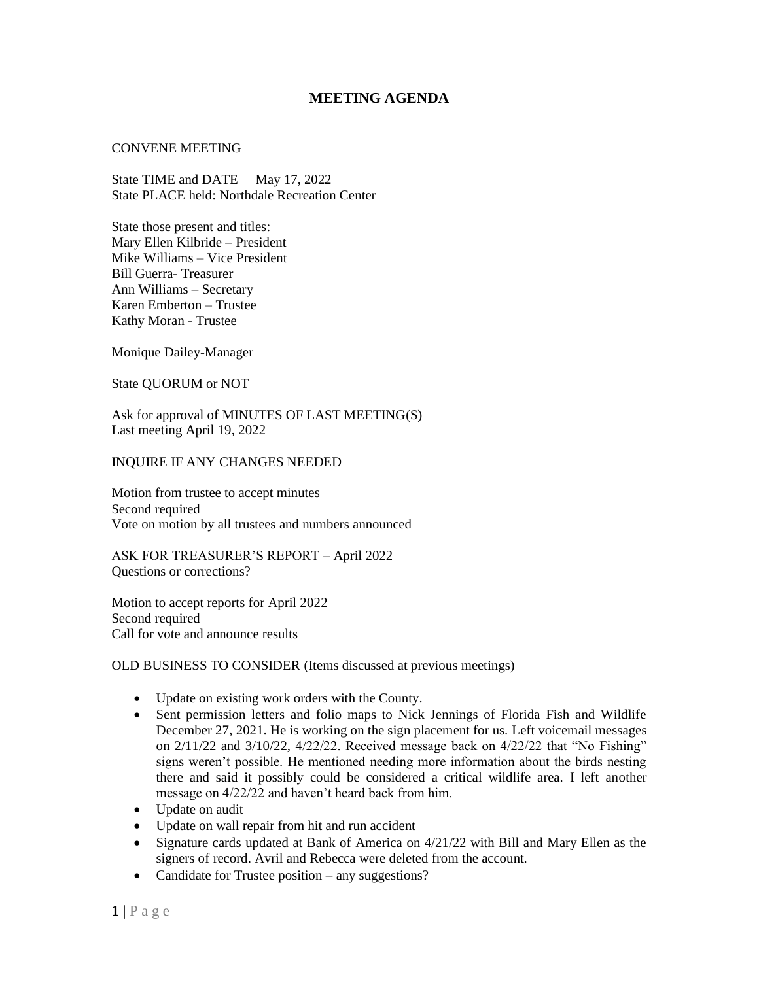## **MEETING AGENDA**

## CONVENE MEETING

State TIME and DATE May 17, 2022 State PLACE held: Northdale Recreation Center

State those present and titles: Mary Ellen Kilbride – President Mike Williams – Vice President Bill Guerra- Treasurer Ann Williams – Secretary Karen Emberton – Trustee Kathy Moran - Trustee

Monique Dailey-Manager

State QUORUM or NOT

Ask for approval of MINUTES OF LAST MEETING(S) Last meeting April 19, 2022

INQUIRE IF ANY CHANGES NEEDED

Motion from trustee to accept minutes Second required Vote on motion by all trustees and numbers announced

ASK FOR TREASURER'S REPORT – April 2022 Questions or corrections?

Motion to accept reports for April 2022 Second required Call for vote and announce results

OLD BUSINESS TO CONSIDER (Items discussed at previous meetings)

- Update on existing work orders with the County.
- Sent permission letters and folio maps to Nick Jennings of Florida Fish and Wildlife December 27, 2021. He is working on the sign placement for us. Left voicemail messages on 2/11/22 and 3/10/22, 4/22/22. Received message back on 4/22/22 that "No Fishing" signs weren't possible. He mentioned needing more information about the birds nesting there and said it possibly could be considered a critical wildlife area. I left another message on 4/22/22 and haven't heard back from him.
- Update on audit
- Update on wall repair from hit and run accident
- Signature cards updated at Bank of America on 4/21/22 with Bill and Mary Ellen as the signers of record. Avril and Rebecca were deleted from the account.
- Candidate for Trustee position any suggestions?